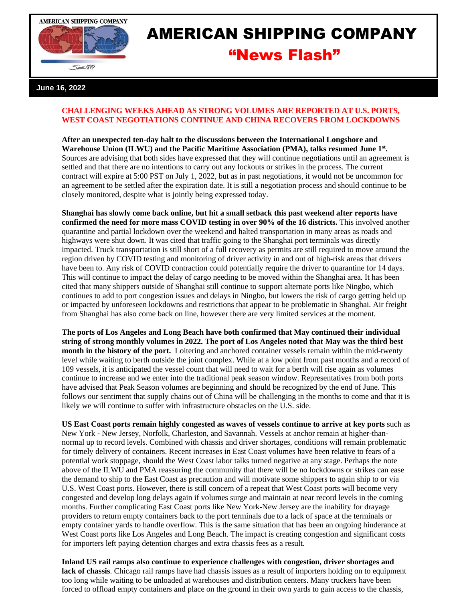



## AMERICAN SHIPPING COMPANY "News Flash"

## **June 16, 2022**

## **CHALLENGING WEEKS AHEAD AS STRONG VOLUMES ARE REPORTED AT U.S. PORTS, WEST COAST NEGOTIATIONS CONTINUE AND CHINA RECOVERS FROM LOCKDOWNS**

**After an unexpected ten-day halt to the discussions between the International Longshore and Warehouse Union (ILWU) and the Pacific Maritime Association (PMA), talks resumed June 1st .**  Sources are advising that both sides have expressed that they will continue negotiations until an agreement is settled and that there are no intentions to carry out any lockouts or strikes in the process. The current contract will expire at 5:00 PST on July 1, 2022, but as in past negotiations, it would not be uncommon for an agreement to be settled after the expiration date. It is still a negotiation process and should continue to be closely monitored, despite what is jointly being expressed today.

**Shanghai has slowly come back online, but hit a small setback this past weekend after reports have confirmed the need for more mass COVID testing in over 90% of the 16 districts.** This involved another quarantine and partial lockdown over the weekend and halted transportation in many areas as roads and highways were shut down. It was cited that traffic going to the Shanghai port terminals was directly impacted. Truck transportation is still short of a full recovery as permits are still required to move around the region driven by COVID testing and monitoring of driver activity in and out of high-risk areas that drivers have been to. Any risk of COVID contraction could potentially require the driver to quarantine for 14 days. This will continue to impact the delay of cargo needing to be moved within the Shanghai area. It has been cited that many shippers outside of Shanghai still continue to support alternate ports like Ningbo, which continues to add to port congestion issues and delays in Ningbo, but lowers the risk of cargo getting held up or impacted by unforeseen lockdowns and restrictions that appear to be problematic in Shanghai. Air freight from Shanghai has also come back on line, however there are very limited services at the moment.

**The ports of Los Angeles and Long Beach have both confirmed that May continued their individual string of strong monthly volumes in 2022. The port of Los Angeles noted that May was the third best month in the history of the port.** Loitering and anchored container vessels remain within the mid-twenty level while waiting to berth outside the joint complex. While at a low point from past months and a record of 109 vessels, it is anticipated the vessel count that will need to wait for a berth will rise again as volumes continue to increase and we enter into the traditional peak season window. Representatives from both ports have advised that Peak Season volumes are beginning and should be recognized by the end of June. This follows our sentiment that supply chains out of China will be challenging in the months to come and that it is likely we will continue to suffer with infrastructure obstacles on the U.S. side.

**US East Coast ports remain highly congested as waves of vessels continue to arrive at key ports** such as New York - New Jersey, Norfolk, Charleston, and Savannah. Vessels at anchor remain at higher-thannormal up to record levels. Combined with chassis and driver shortages, conditions will remain problematic for timely delivery of containers. Recent increases in East Coast volumes have been relative to fears of a potential work stoppage, should the West Coast labor talks turned negative at any stage. Perhaps the note above of the ILWU and PMA reassuring the community that there will be no lockdowns or strikes can ease the demand to ship to the East Coast as precaution and will motivate some shippers to again ship to or via U.S. West Coast ports. However, there is still concern of a repeat that West Coast ports will become very congested and develop long delays again if volumes surge and maintain at near record levels in the coming months. Further complicating East Coast ports like New York-New Jersey are the inability for drayage providers to return empty containers back to the port terminals due to a lack of space at the terminals or empty container yards to handle overflow. This is the same situation that has been an ongoing hinderance at West Coast ports like Los Angeles and Long Beach. The impact is creating congestion and significant costs for importers left paying detention charges and extra chassis fees as a result.

**Inland US rail ramps also continue to experience challenges with congestion, driver shortages and lack of chassis**. Chicago rail ramps have had chassis issues as a result of importers holding on to equipment too long while waiting to be unloaded at warehouses and distribution centers. Many truckers have been forced to offload empty containers and place on the ground in their own yards to gain access to the chassis,